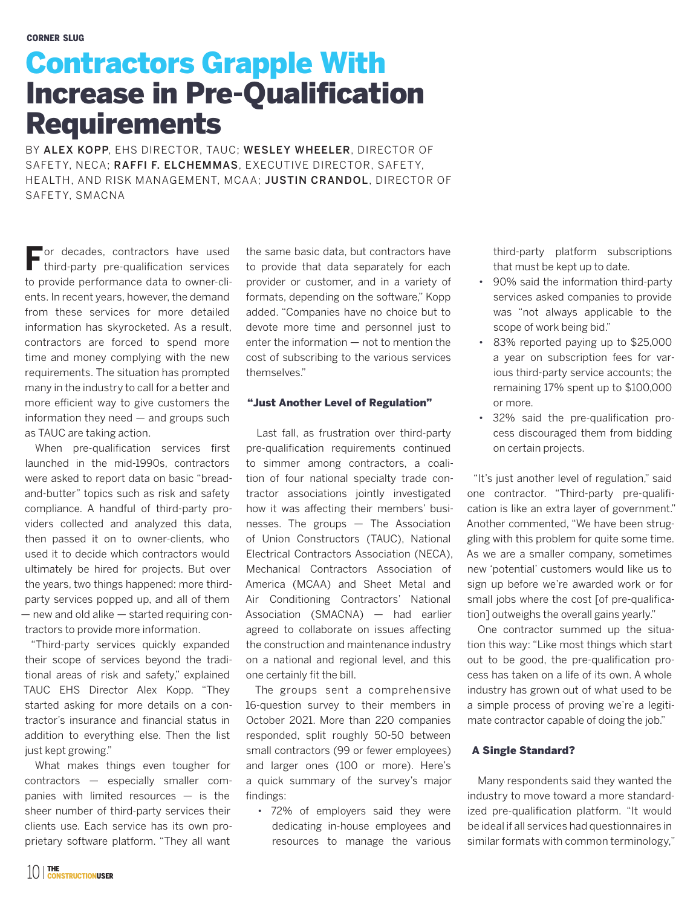## Contractors Grapple With Increase in Pre-Qualification **Requirements**

BY ALEX KOPP, EHS DIRECTOR, TAUC; WESLEY WHEELER, DIRECTOR OF SAFETY, NECA; RAFFI F. ELCHEMMAS, EXECUTIVE DIRECTOR, SAFETY, HEALTH, AND RISK MANAGEMENT, MCAA; JUSTIN CRANDOL, DIRECTOR OF SAFETY, SMACNA

**For decades, contractors have used** third-party pre-qualification services to provide performance data to owner-clients. In recent years, however, the demand from these services for more detailed information has skyrocketed. As a result, contractors are forced to spend more time and money complying with the new requirements. The situation has prompted many in the industry to call for a better and more efficient way to give customers the information they need  $-$  and groups such as TAUC are taking action.

When pre-qualification services first launched in the mid-1990s, contractors were asked to report data on basic "breadand-butter" topics such as risk and safety compliance. A handful of third-party providers collected and analyzed this data, then passed it on to owner-clients, who used it to decide which contractors would ultimately be hired for projects. But over the years, two things happened: more thirdparty services popped up, and all of them — new and old alike — started requiring contractors to provide more information.

"Third-party services quickly expanded their scope of services beyond the traditional areas of risk and safety," explained TAUC EHS Director Alex Kopp. "They started asking for more details on a contractor's insurance and financial status in addition to everything else. Then the list just kept growing."

What makes things even tougher for contractors — especially smaller companies with limited resources — is the sheer number of third-party services their clients use. Each service has its own proprietary software platform. "They all want

the same basic data, but contractors have to provide that data separately for each provider or customer, and in a variety of formats, depending on the software," Kopp added. "Companies have no choice but to devote more time and personnel just to enter the information — not to mention the cost of subscribing to the various services themselves."

## "Just Another Level of Regulation"

Last fall, as frustration over third-party pre-qualification requirements continued to simmer among contractors, a coalition of four national specialty trade contractor associations jointly investigated how it was affecting their members' businesses. The groups — The Association of Union Constructors (TAUC), National Electrical Contractors Association (NECA), Mechanical Contractors Association of America (MCAA) and Sheet Metal and Air Conditioning Contractors' National Association (SMACNA) — had earlier agreed to collaborate on issues affecting the construction and maintenance industry on a national and regional level, and this one certainly fit the bill.

The groups sent a comprehensive 16-question survey to their members in October 2021. More than 220 companies responded, split roughly 50-50 between small contractors (99 or fewer employees) and larger ones (100 or more). Here's a quick summary of the survey's major findings:

• 72% of employers said they were dedicating in-house employees and resources to manage the various

third-party platform subscriptions that must be kept up to date.

- 90% said the information third-party services asked companies to provide was "not always applicable to the scope of work being bid."
- 83% reported paying up to \$25,000 a year on subscription fees for various third-party service accounts; the remaining 17% spent up to \$100,000 or more.
- 32% said the pre-qualification process discouraged them from bidding on certain projects.

"It's just another level of regulation," said one contractor. "Third-party pre-qualification is like an extra layer of government." Another commented, "We have been struggling with this problem for quite some time. As we are a smaller company, sometimes new 'potential' customers would like us to sign up before we're awarded work or for small jobs where the cost [of pre-qualification] outweighs the overall gains yearly."

One contractor summed up the situation this way: "Like most things which start out to be good, the pre-qualification process has taken on a life of its own. A whole industry has grown out of what used to be a simple process of proving we're a legitimate contractor capable of doing the job."

## A Single Standard?

Many respondents said they wanted the industry to move toward a more standardized pre-qualification platform. "It would be ideal if all services had questionnaires in similar formats with common terminology,"